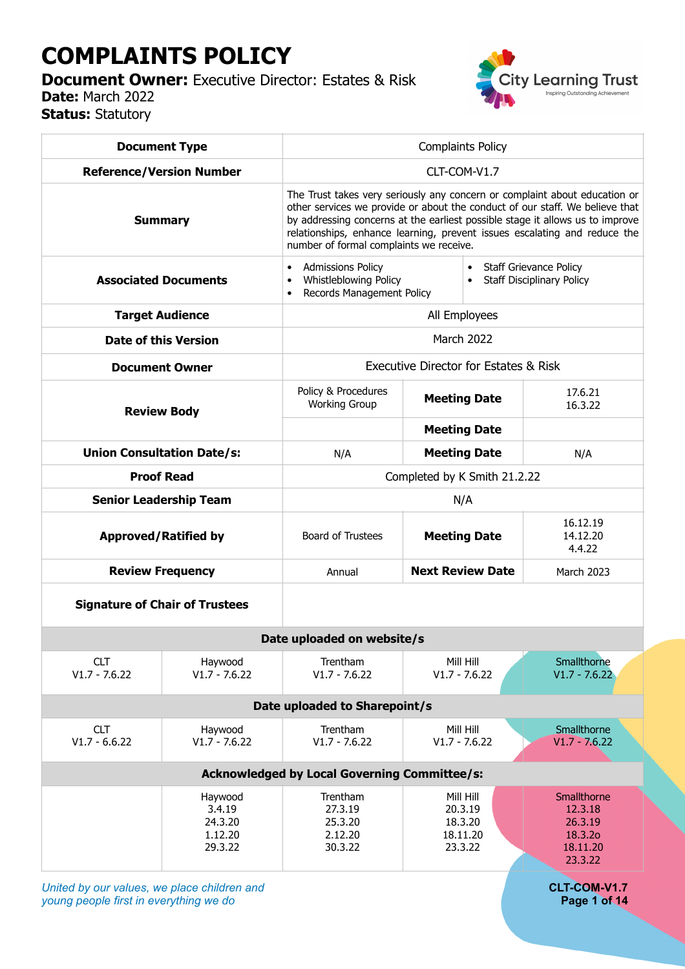# **COMPLAINTS POLICY**

**Document Owner:** Executive Director: Estates & Risk **Date:** March 2022 **Status:** Statutory



| <b>Document Type</b>                                |                                                    | <b>Complaints Policy</b>                                                                                                                                                                                                                                                                                                                                            |                                                        |                                                                     |  |  |  |  |
|-----------------------------------------------------|----------------------------------------------------|---------------------------------------------------------------------------------------------------------------------------------------------------------------------------------------------------------------------------------------------------------------------------------------------------------------------------------------------------------------------|--------------------------------------------------------|---------------------------------------------------------------------|--|--|--|--|
| <b>Reference/Version Number</b>                     |                                                    | CLT-COM-V1.7                                                                                                                                                                                                                                                                                                                                                        |                                                        |                                                                     |  |  |  |  |
| <b>Summary</b>                                      |                                                    | The Trust takes very seriously any concern or complaint about education or<br>other services we provide or about the conduct of our staff. We believe that<br>by addressing concerns at the earliest possible stage it allows us to improve<br>relationships, enhance learning, prevent issues escalating and reduce the<br>number of formal complaints we receive. |                                                        |                                                                     |  |  |  |  |
| <b>Associated Documents</b>                         |                                                    | <b>Admissions Policy</b><br>Whistleblowing Policy<br>Records Management Policy                                                                                                                                                                                                                                                                                      |                                                        | <b>Staff Grievance Policy</b><br><b>Staff Disciplinary Policy</b>   |  |  |  |  |
| <b>Target Audience</b>                              |                                                    | All Employees                                                                                                                                                                                                                                                                                                                                                       |                                                        |                                                                     |  |  |  |  |
| <b>Date of this Version</b>                         |                                                    | <b>March 2022</b>                                                                                                                                                                                                                                                                                                                                                   |                                                        |                                                                     |  |  |  |  |
|                                                     | <b>Document Owner</b>                              | Executive Director for Estates & Risk                                                                                                                                                                                                                                                                                                                               |                                                        |                                                                     |  |  |  |  |
| <b>Review Body</b>                                  |                                                    | Policy & Procedures<br><b>Working Group</b>                                                                                                                                                                                                                                                                                                                         | <b>Meeting Date</b><br><b>Meeting Date</b>             | 17.6.21<br>16.3.22                                                  |  |  |  |  |
| <b>Union Consultation Date/s:</b>                   |                                                    | N/A                                                                                                                                                                                                                                                                                                                                                                 | <b>Meeting Date</b>                                    | N/A                                                                 |  |  |  |  |
| <b>Proof Read</b>                                   |                                                    | Completed by K Smith 21.2.22                                                                                                                                                                                                                                                                                                                                        |                                                        |                                                                     |  |  |  |  |
|                                                     | <b>Senior Leadership Team</b>                      | N/A                                                                                                                                                                                                                                                                                                                                                                 |                                                        |                                                                     |  |  |  |  |
| <b>Approved/Ratified by</b>                         |                                                    | Board of Trustees                                                                                                                                                                                                                                                                                                                                                   | <b>Meeting Date</b>                                    | 16.12.19<br>14.12.20<br>4.4.22                                      |  |  |  |  |
| <b>Review Frequency</b>                             |                                                    | Annual                                                                                                                                                                                                                                                                                                                                                              | <b>Next Review Date</b>                                | <b>March 2023</b>                                                   |  |  |  |  |
|                                                     | <b>Signature of Chair of Trustees</b>              |                                                                                                                                                                                                                                                                                                                                                                     |                                                        |                                                                     |  |  |  |  |
| Date uploaded on website/s                          |                                                    |                                                                                                                                                                                                                                                                                                                                                                     |                                                        |                                                                     |  |  |  |  |
| <b>CLT</b><br>$V1.7 - 7.6.22$                       | Haywood<br>$V1.7 - 7.6.22$                         | Trentham<br>$V1.7 - 7.6.22$                                                                                                                                                                                                                                                                                                                                         | Mill Hill<br>$V1.7 - 7.6.22$                           | Smallthorne<br>$V1.7 - 7.6.22$                                      |  |  |  |  |
| Date uploaded to Sharepoint/s                       |                                                    |                                                                                                                                                                                                                                                                                                                                                                     |                                                        |                                                                     |  |  |  |  |
| <b>CLT</b><br>$V1.7 - 6.6.22$                       | Haywood<br>$V1.7 - 7.6.22$                         | Trentham<br>$V1.7 - 7.6.22$                                                                                                                                                                                                                                                                                                                                         | Mill Hill<br>$V1.7 - 7.6.22$                           | Smallthorne<br>$V1.7 - 7.6.22$                                      |  |  |  |  |
| <b>Acknowledged by Local Governing Committee/s:</b> |                                                    |                                                                                                                                                                                                                                                                                                                                                                     |                                                        |                                                                     |  |  |  |  |
|                                                     | Haywood<br>3.4.19<br>24.3.20<br>1.12.20<br>29.3.22 | Trentham<br>27.3.19<br>25.3.20<br>2.12.20<br>30.3.22                                                                                                                                                                                                                                                                                                                | Mill Hill<br>20.3.19<br>18.3.20<br>18.11.20<br>23.3.22 | Smallthorne<br>12.3.18<br>26.3.19<br>18.3.20<br>18.11.20<br>23.3.22 |  |  |  |  |

*United by our values, we place children and* **CLT-COM-V1.7**<br> **CLT-COM-V1.7**<br> **Page 1 of 14** *young people first in everything we do*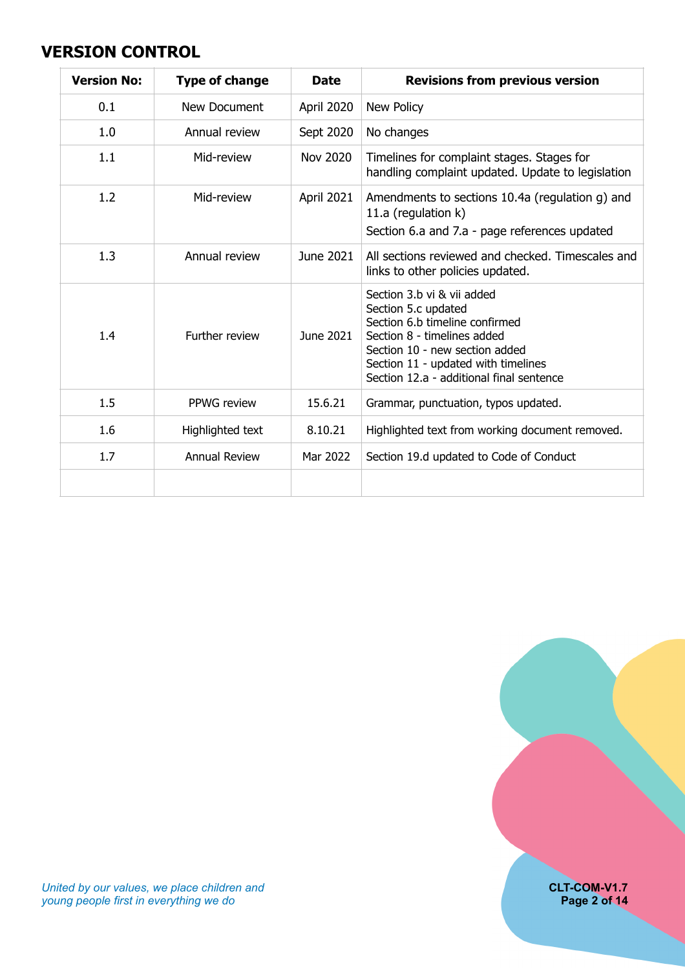#### <span id="page-1-0"></span>**VERSION CONTROL**

| <b>Version No:</b> | <b>Type of change</b> | <b>Date</b>       | <b>Revisions from previous version</b>                                                                                                                                                                                                  |
|--------------------|-----------------------|-------------------|-----------------------------------------------------------------------------------------------------------------------------------------------------------------------------------------------------------------------------------------|
| 0.1                | New Document          | <b>April 2020</b> | New Policy                                                                                                                                                                                                                              |
| 1.0                | Annual review         | Sept 2020         | No changes                                                                                                                                                                                                                              |
| 1.1                | Mid-review            | <b>Nov 2020</b>   | Timelines for complaint stages. Stages for<br>handling complaint updated. Update to legislation                                                                                                                                         |
| 1.2                | Mid-review            | April 2021        | Amendments to sections 10.4a (regulation g) and<br>11.a (regulation k)<br>Section 6.a and 7.a - page references updated                                                                                                                 |
| 1.3                | Annual review         | June 2021         | All sections reviewed and checked. Timescales and<br>links to other policies updated.                                                                                                                                                   |
| 1.4                | Further review        | June 2021         | Section 3.b vi & vii added<br>Section 5.c updated<br>Section 6.b timeline confirmed<br>Section 8 - timelines added<br>Section 10 - new section added<br>Section 11 - updated with timelines<br>Section 12.a - additional final sentence |
| 1.5                | PPWG review           | 15.6.21           | Grammar, punctuation, typos updated.                                                                                                                                                                                                    |
| 1.6                | Highlighted text      | 8.10.21           | Highlighted text from working document removed.                                                                                                                                                                                         |
| 1.7                | <b>Annual Review</b>  | Mar 2022          | Section 19.d updated to Code of Conduct                                                                                                                                                                                                 |
|                    |                       |                   |                                                                                                                                                                                                                                         |

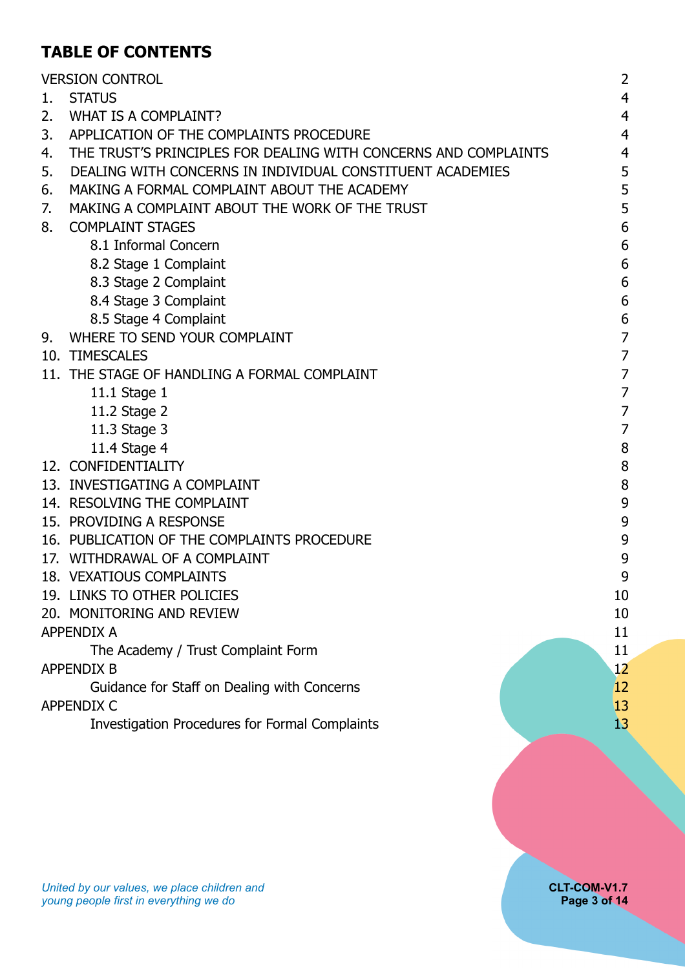## **TABLE OF CONTENTS**

|    | <b>VERSION CONTROL</b>                                          | $\overline{2}$ |
|----|-----------------------------------------------------------------|----------------|
| 1. | <b>STATUS</b>                                                   | $\overline{4}$ |
| 2. | WHAT IS A COMPLAINT?                                            | $\overline{4}$ |
| 3. | APPLICATION OF THE COMPLAINTS PROCEDURE                         | $\overline{4}$ |
| 4. | THE TRUST'S PRINCIPLES FOR DEALING WITH CONCERNS AND COMPLAINTS | $\overline{4}$ |
| 5. | DEALING WITH CONCERNS IN INDIVIDUAL CONSTITUENT ACADEMIES       | 5              |
| 6. | MAKING A FORMAL COMPLAINT ABOUT THE ACADEMY                     | 5              |
| 7. | MAKING A COMPLAINT ABOUT THE WORK OF THE TRUST                  | 5              |
| 8. | <b>COMPLAINT STAGES</b>                                         | 6              |
|    | 8.1 Informal Concern                                            | 6              |
|    | 8.2 Stage 1 Complaint                                           | 6              |
|    | 8.3 Stage 2 Complaint                                           | 6              |
|    | 8.4 Stage 3 Complaint                                           | 6              |
|    | 8.5 Stage 4 Complaint                                           | 6              |
| 9. | WHERE TO SEND YOUR COMPLAINT                                    | 7              |
|    | 10. TIMESCALES                                                  | $\overline{7}$ |
|    | 11. THE STAGE OF HANDLING A FORMAL COMPLAINT                    | 7              |
|    | 11.1 Stage 1                                                    | $\overline{7}$ |
|    | 11.2 Stage 2                                                    | $\overline{7}$ |
|    | 11.3 Stage 3                                                    | 7              |
|    | 11.4 Stage 4                                                    | 8              |
|    | 12. CONFIDENTIALITY                                             | 8              |
|    | 13. INVESTIGATING A COMPLAINT                                   | 8              |
|    | 14. RESOLVING THE COMPLAINT                                     | 9              |
|    | 15. PROVIDING A RESPONSE                                        | 9              |
|    | 16. PUBLICATION OF THE COMPLAINTS PROCEDURE                     | 9              |
|    | 17. WITHDRAWAL OF A COMPLAINT                                   | 9              |
|    | 18. VEXATIOUS COMPLAINTS                                        | 9              |
|    | 19. LINKS TO OTHER POLICIES                                     | 10             |
|    | 20. MONITORING AND REVIEW                                       | 10             |
|    | <b>APPENDIX A</b>                                               | 11             |
|    | The Academy / Trust Complaint Form                              | 11             |
|    | <b>APPENDIX B</b>                                               | 12             |
|    | Guidance for Staff on Dealing with Concerns                     | 12             |
|    | <b>APPENDIX C</b>                                               | 13             |
|    | <b>Investigation Procedures for Formal Complaints</b>           | 13             |
|    |                                                                 |                |
|    |                                                                 |                |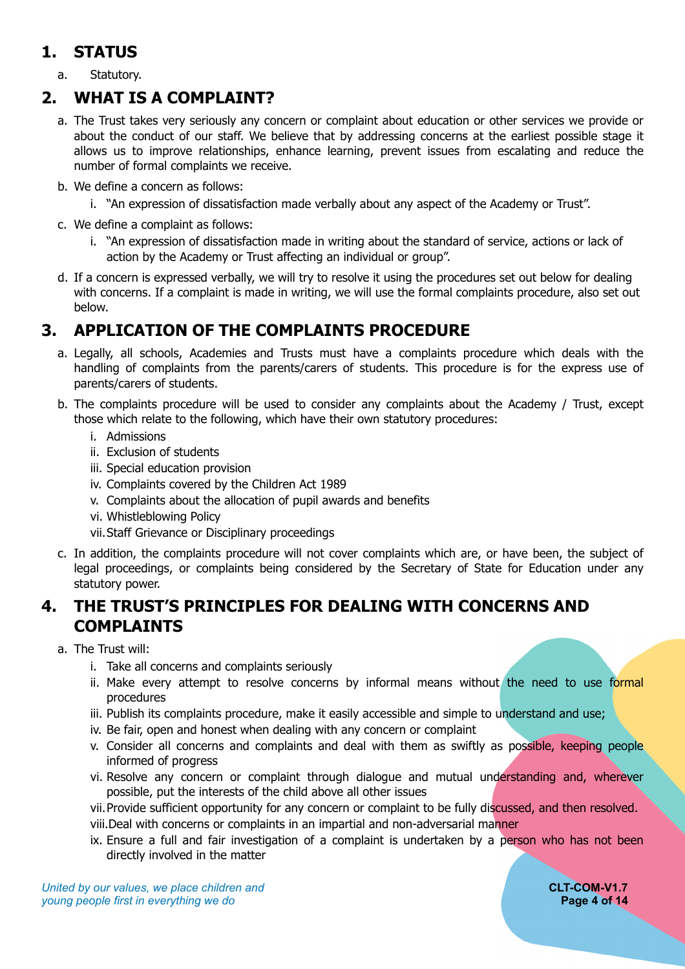#### <span id="page-3-0"></span>**1. STATUS**

<span id="page-3-1"></span>a. Statutory.

#### **2. WHAT IS A COMPLAINT?**

- a. The Trust takes very seriously any concern or complaint about education or other services we provide or about the conduct of our staff. We believe that by addressing concerns at the earliest possible stage it allows us to improve relationships, enhance learning, prevent issues from escalating and reduce the number of formal complaints we receive.
- b. We define a concern as follows:
	- i. "An expression of dissatisfaction made verbally about any aspect of the Academy or Trust".
- c. We define a complaint as follows:
	- i. "An expression of dissatisfaction made in writing about the standard of service, actions or lack of action by the Academy or Trust affecting an individual or group".
- d. If a concern is expressed verbally, we will try to resolve it using the procedures set out below for dealing with concerns. If a complaint is made in writing, we will use the formal complaints procedure, also set out below.

#### **3. APPLICATION OF THE COMPLAINTS PROCEDURE**

- <span id="page-3-2"></span>a. Legally, all schools, Academies and Trusts must have a complaints procedure which deals with the handling of complaints from the parents/carers of students. This procedure is for the express use of parents/carers of students.
- b. The complaints procedure will be used to consider any complaints about the Academy / Trust, except those which relate to the following, which have their own statutory procedures:
	- i. Admissions
	- ii. Exclusion of students
	- iii. Special education provision
	- iv. Complaints covered by the Children Act 1989
	- v. Complaints about the allocation of pupil awards and benefits
	- vi. Whistleblowing Policy
	- vii.Staff Grievance or Disciplinary proceedings
- c. In addition, the complaints procedure will not cover complaints which are, or have been, the subject of legal proceedings, or complaints being considered by the Secretary of State for Education under any statutory power.

#### <span id="page-3-3"></span>**4. THE TRUST'S PRINCIPLES FOR DEALING WITH CONCERNS AND COMPLAINTS**

- a. The Trust will:
	- i. Take all concerns and complaints seriously
	- ii. Make every attempt to resolve concerns by informal means without the need to use formal procedures
	- iii. Publish its complaints procedure, make it easily accessible and simple to understand and use;
	- iv. Be fair, open and honest when dealing with any concern or complaint
	- v. Consider all concerns and complaints and deal with them as swiftly as possible, keeping people informed of progress
	- vi. Resolve any concern or complaint through dialogue and mutual understanding and, wherever possible, put the interests of the child above all other issues
	- vii.Provide sufficient opportunity for any concern or complaint to be fully discussed, and then resolved.
	- viii.Deal with concerns or complaints in an impartial and non-adversarial manner
	- ix. Ensure a full and fair investigation of a complaint is undertaken by a person who has not been directly involved in the matter

*United by our values, we place children and* **CLT-COM-V1.7**<br> **CLT-COM-V1.7**<br> **Page 4 of 14** *young people first in everything we do*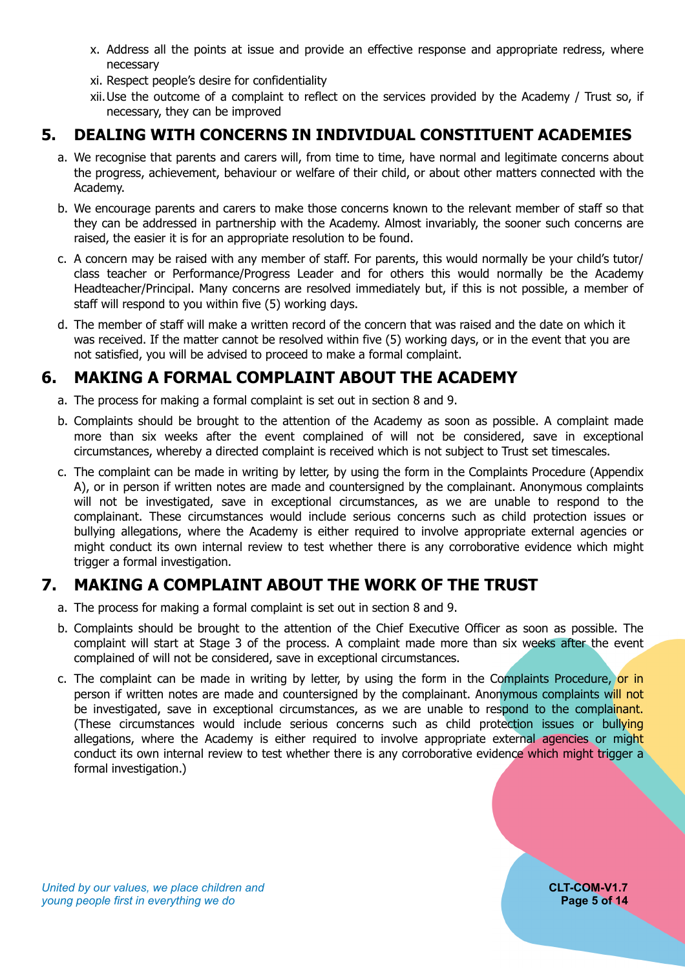- x. Address all the points at issue and provide an effective response and appropriate redress, where necessary
- xi. Respect people's desire for confidentiality
- xii.Use the outcome of a complaint to reflect on the services provided by the Academy / Trust so, if necessary, they can be improved

#### **5. DEALING WITH CONCERNS IN INDIVIDUAL CONSTITUENT ACADEMIES**

- <span id="page-4-0"></span>a. We recognise that parents and carers will, from time to time, have normal and legitimate concerns about the progress, achievement, behaviour or welfare of their child, or about other matters connected with the Academy.
- b. We encourage parents and carers to make those concerns known to the relevant member of staff so that they can be addressed in partnership with the Academy. Almost invariably, the sooner such concerns are raised, the easier it is for an appropriate resolution to be found.
- c. A concern may be raised with any member of staff. For parents, this would normally be your child's tutor/ class teacher or Performance/Progress Leader and for others this would normally be the Academy Headteacher/Principal. Many concerns are resolved immediately but, if this is not possible, a member of staff will respond to you within five (5) working days.
- d. The member of staff will make a written record of the concern that was raised and the date on which it was received. If the matter cannot be resolved within five (5) working days, or in the event that you are not satisfied, you will be advised to proceed to make a formal complaint.

# **6. MAKING A FORMAL COMPLAINT ABOUT THE ACADEMY**

- <span id="page-4-1"></span>a. The process for making a formal complaint is set out in section 8 and 9.
- b. Complaints should be brought to the attention of the Academy as soon as possible. A complaint made more than six weeks after the event complained of will not be considered, save in exceptional circumstances, whereby a directed complaint is received which is not subject to Trust set timescales.
- c. The complaint can be made in writing by letter, by using the form in the Complaints Procedure (Appendix A), or in person if written notes are made and countersigned by the complainant. Anonymous complaints will not be investigated, save in exceptional circumstances, as we are unable to respond to the complainant. These circumstances would include serious concerns such as child protection issues or bullying allegations, where the Academy is either required to involve appropriate external agencies or might conduct its own internal review to test whether there is any corroborative evidence which might trigger a formal investigation.

# **7. MAKING A COMPLAINT ABOUT THE WORK OF THE TRUST**

- <span id="page-4-2"></span>a. The process for making a formal complaint is set out in section 8 and 9.
- b. Complaints should be brought to the attention of the Chief Executive Officer as soon as possible. The complaint will start at Stage 3 of the process. A complaint made more than six weeks after the event complained of will not be considered, save in exceptional circumstances.
- c. The complaint can be made in writing by letter, by using the form in the Complaints Procedure, or in person if written notes are made and countersigned by the complainant. Anonymous complaints will not be investigated, save in exceptional circumstances, as we are unable to respond to the complainant. (These circumstances would include serious concerns such as child protection issues or bullying allegations, where the Academy is either required to involve appropriate external agencies or might conduct its own internal review to test whether there is any corroborative evidence which might trigger a formal investigation.)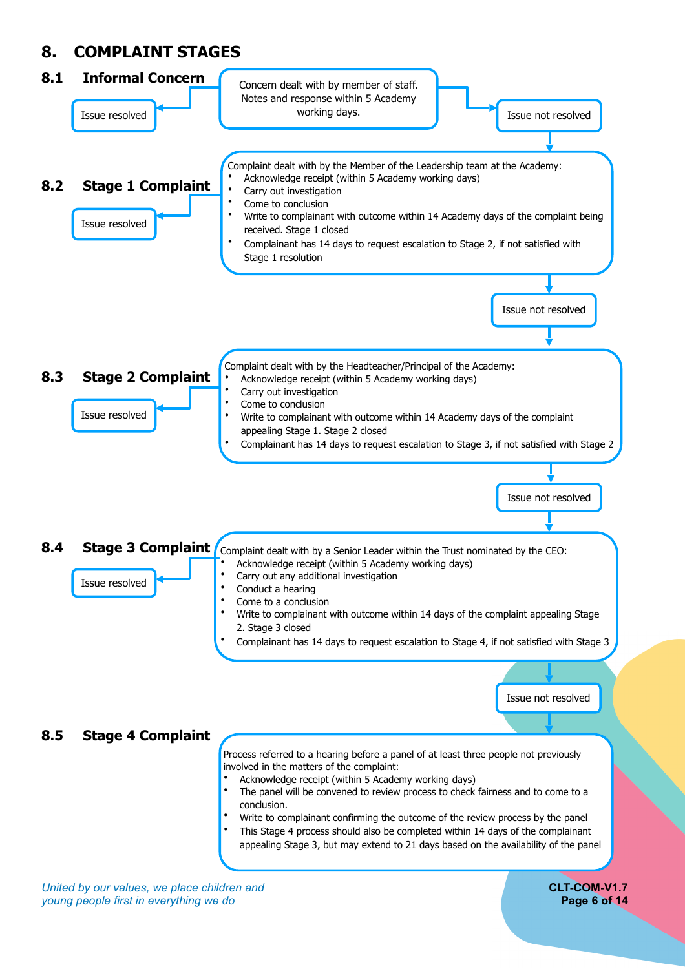# <span id="page-5-0"></span>**8. COMPLAINT STAGES**

<span id="page-5-3"></span><span id="page-5-2"></span><span id="page-5-1"></span>

<span id="page-5-5"></span><span id="page-5-4"></span>*United by our values, we place children and* **CLT-COM-V1.7** *young people first in everything we do* **Page 6 of 14**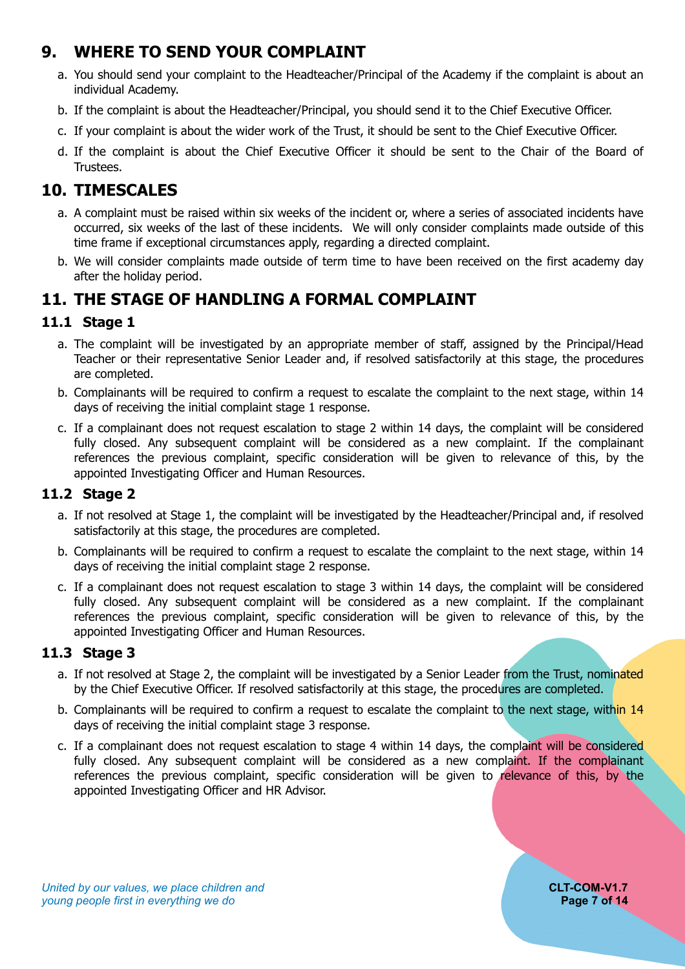## **9. WHERE TO SEND YOUR COMPLAINT**

- <span id="page-6-0"></span>a. You should send your complaint to the Headteacher/Principal of the Academy if the complaint is about an individual Academy.
- b. If the complaint is about the Headteacher/Principal, you should send it to the Chief Executive Officer.
- c. If your complaint is about the wider work of the Trust, it should be sent to the Chief Executive Officer.
- d. If the complaint is about the Chief Executive Officer it should be sent to the Chair of the Board of Trustees.

#### **10. TIMESCALES**

- <span id="page-6-1"></span>a. A complaint must be raised within six weeks of the incident or, where a series of associated incidents have occurred, six weeks of the last of these incidents. We will only consider complaints made outside of this time frame if exceptional circumstances apply, regarding a directed complaint.
- b. We will consider complaints made outside of term time to have been received on the first academy day after the holiday period.

#### <span id="page-6-2"></span>**11. THE STAGE OF HANDLING A FORMAL COMPLAINT**

#### <span id="page-6-3"></span>**11.1 Stage 1**

- a. The complaint will be investigated by an appropriate member of staff, assigned by the Principal/Head Teacher or their representative Senior Leader and, if resolved satisfactorily at this stage, the procedures are completed.
- b. Complainants will be required to confirm a request to escalate the complaint to the next stage, within 14 days of receiving the initial complaint stage 1 response.
- c. If a complainant does not request escalation to stage 2 within 14 days, the complaint will be considered fully closed. Any subsequent complaint will be considered as a new complaint. If the complainant references the previous complaint, specific consideration will be given to relevance of this, by the appointed Investigating Officer and Human Resources.

#### <span id="page-6-4"></span>**11.2 Stage 2**

- a. If not resolved at Stage 1, the complaint will be investigated by the Headteacher/Principal and, if resolved satisfactorily at this stage, the procedures are completed.
- b. Complainants will be required to confirm a request to escalate the complaint to the next stage, within 14 days of receiving the initial complaint stage 2 response.
- c. If a complainant does not request escalation to stage 3 within 14 days, the complaint will be considered fully closed. Any subsequent complaint will be considered as a new complaint. If the complainant references the previous complaint, specific consideration will be given to relevance of this, by the appointed Investigating Officer and Human Resources.

#### <span id="page-6-5"></span>**11.3 Stage 3**

- a. If not resolved at Stage 2, the complaint will be investigated by a Senior Leader from the Trust, nominated by the Chief Executive Officer. If resolved satisfactorily at this stage, the procedures are completed.
- b. Complainants will be required to confirm a request to escalate the complaint to the next stage, within 14 days of receiving the initial complaint stage 3 response.
- c. If a complainant does not request escalation to stage 4 within 14 days, the complaint will be considered fully closed. Any subsequent complaint will be considered as a new complaint. If the complainant references the previous complaint, specific consideration will be given to relevance of this, by the appointed Investigating Officer and HR Advisor.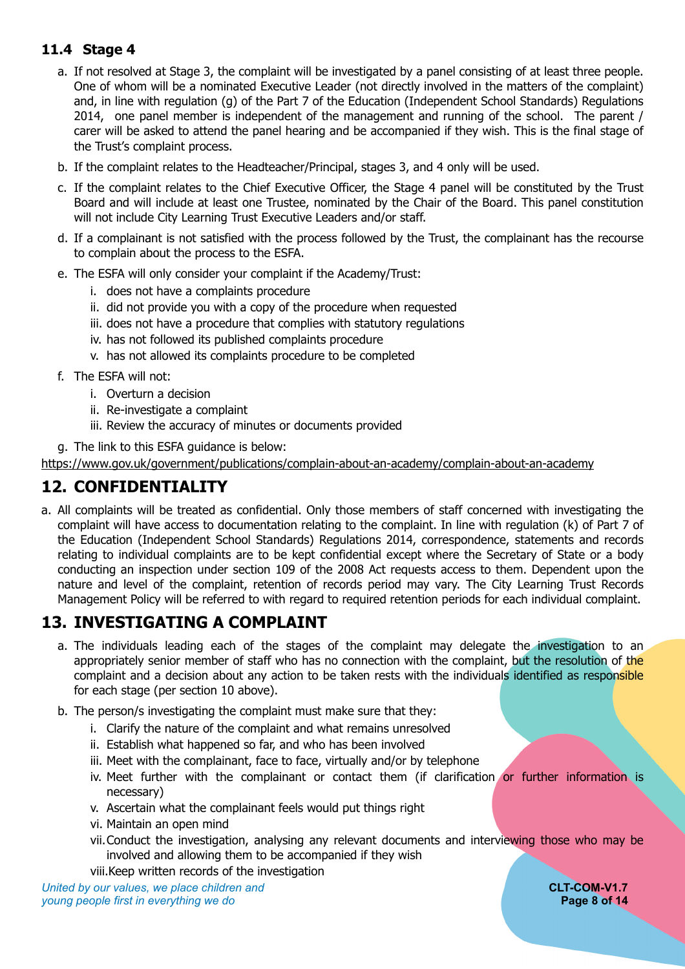#### <span id="page-7-0"></span>**11.4 Stage 4**

- a. If not resolved at Stage 3, the complaint will be investigated by a panel consisting of at least three people. One of whom will be a nominated Executive Leader (not directly involved in the matters of the complaint) and, in line with regulation (g) of the Part 7 of the Education (Independent School Standards) Regulations 2014, one panel member is independent of the management and running of the school. The parent / carer will be asked to attend the panel hearing and be accompanied if they wish. This is the final stage of the Trust's complaint process.
- b. If the complaint relates to the Headteacher/Principal, stages 3, and 4 only will be used.
- c. If the complaint relates to the Chief Executive Officer, the Stage 4 panel will be constituted by the Trust Board and will include at least one Trustee, nominated by the Chair of the Board. This panel constitution will not include City Learning Trust Executive Leaders and/or staff.
- d. If a complainant is not satisfied with the process followed by the Trust, the complainant has the recourse to complain about the process to the ESFA.
- e. The ESFA will only consider your complaint if the Academy/Trust:
	- i. does not have a complaints procedure
	- ii. did not provide you with a copy of the procedure when requested
	- iii. does not have a procedure that complies with statutory regulations
	- iv. has not followed its published complaints procedure
	- v. has not allowed its complaints procedure to be completed
- f. The ESFA will not:
	- i. Overturn a decision
	- ii. Re-investigate a complaint
	- iii. Review the accuracy of minutes or documents provided
- g. The link to this ESFA guidance is below:

<https://www.gov.uk/government/publications/complain-about-an-academy/complain-about-an-academy>

#### <span id="page-7-1"></span>**12. CONFIDENTIALITY**

a. All complaints will be treated as confidential. Only those members of staff concerned with investigating the complaint will have access to documentation relating to the complaint. In line with regulation (k) of Part 7 of the Education (Independent School Standards) Regulations 2014, correspondence, statements and records relating to individual complaints are to be kept confidential except where the Secretary of State or a body conducting an inspection under section 109 of the 2008 Act requests access to them. Dependent upon the nature and level of the complaint, retention of records period may vary. The City Learning Trust Records Management Policy will be referred to with regard to required retention periods for each individual complaint.

#### **13. INVESTIGATING A COMPLAINT**

- <span id="page-7-2"></span>a. The individuals leading each of the stages of the complaint may delegate the investigation to an appropriately senior member of staff who has no connection with the complaint, but the resolution of the complaint and a decision about any action to be taken rests with the individuals identified as responsible for each stage (per section 10 above).
- b. The person/s investigating the complaint must make sure that they:
	- i. Clarify the nature of the complaint and what remains unresolved
	- ii. Establish what happened so far, and who has been involved
	- iii. Meet with the complainant, face to face, virtually and/or by telephone
	- iv. Meet further with the complainant or contact them (if clarification or further information is necessary)
	- v. Ascertain what the complainant feels would put things right
	- vi. Maintain an open mind
	- vii.Conduct the investigation, analysing any relevant documents and interviewing those who may be involved and allowing them to be accompanied if they wish

viii.Keep written records of the investigation

*United by our values, we place children and* **CLT-COM-V1.7** *young people first in everything we do* **Page 8 of 14**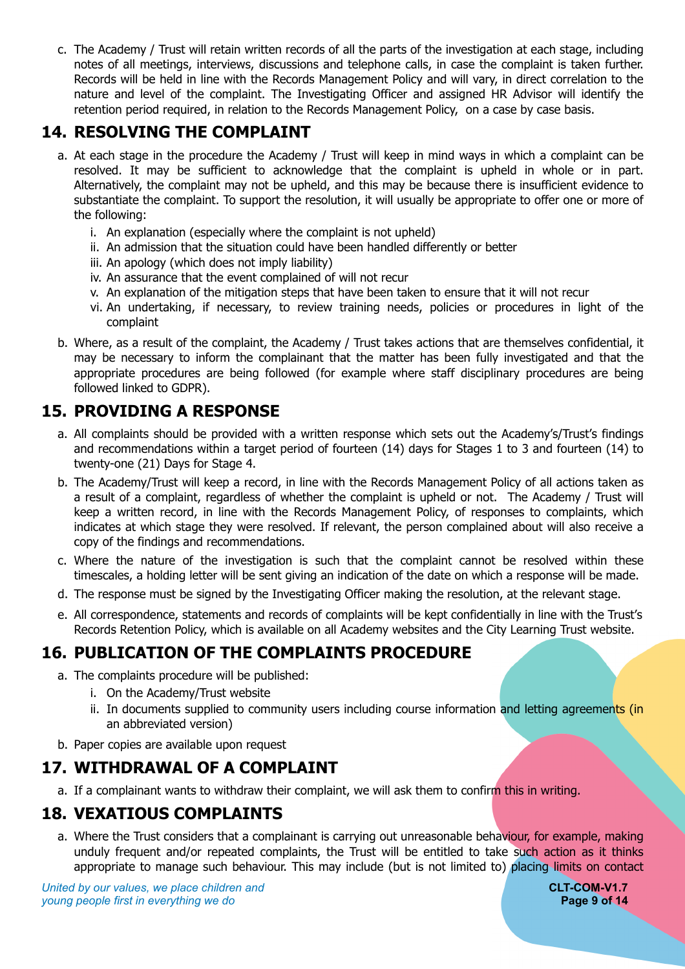c. The Academy / Trust will retain written records of all the parts of the investigation at each stage, including notes of all meetings, interviews, discussions and telephone calls, in case the complaint is taken further. Records will be held in line with the Records Management Policy and will vary, in direct correlation to the nature and level of the complaint. The Investigating Officer and assigned HR Advisor will identify the retention period required, in relation to the Records Management Policy, on a case by case basis.

#### **14. RESOLVING THE COMPLAINT**

- <span id="page-8-0"></span>a. At each stage in the procedure the Academy / Trust will keep in mind ways in which a complaint can be resolved. It may be sufficient to acknowledge that the complaint is upheld in whole or in part. Alternatively, the complaint may not be upheld, and this may be because there is insufficient evidence to substantiate the complaint. To support the resolution, it will usually be appropriate to offer one or more of the following:
	- i. An explanation (especially where the complaint is not upheld)
	- ii. An admission that the situation could have been handled differently or better
	- iii. An apology (which does not imply liability)
	- iv. An assurance that the event complained of will not recur
	- v. An explanation of the mitigation steps that have been taken to ensure that it will not recur
	- vi. An undertaking, if necessary, to review training needs, policies or procedures in light of the complaint
- b. Where, as a result of the complaint, the Academy / Trust takes actions that are themselves confidential, it may be necessary to inform the complainant that the matter has been fully investigated and that the appropriate procedures are being followed (for example where staff disciplinary procedures are being followed linked to GDPR).

#### **15. PROVIDING A RESPONSE**

- <span id="page-8-1"></span>a. All complaints should be provided with a written response which sets out the Academy's/Trust's findings and recommendations within a target period of fourteen (14) days for Stages 1 to 3 and fourteen (14) to twenty-one (21) Days for Stage 4.
- b. The Academy/Trust will keep a record, in line with the Records Management Policy of all actions taken as a result of a complaint, regardless of whether the complaint is upheld or not. The Academy / Trust will keep a written record, in line with the Records Management Policy, of responses to complaints, which indicates at which stage they were resolved. If relevant, the person complained about will also receive a copy of the findings and recommendations.
- c. Where the nature of the investigation is such that the complaint cannot be resolved within these timescales, a holding letter will be sent giving an indication of the date on which a response will be made.
- d. The response must be signed by the Investigating Officer making the resolution, at the relevant stage.
- e. All correspondence, statements and records of complaints will be kept confidentially in line with the Trust's Records Retention Policy, which is available on all Academy websites and the City Learning Trust website.

# **16. PUBLICATION OF THE COMPLAINTS PROCEDURE**

- <span id="page-8-2"></span>a. The complaints procedure will be published:
	- i. On the Academy/Trust website
	- ii. In documents supplied to community users including course information and letting agreements (in an abbreviated version)
- <span id="page-8-3"></span>b. Paper copies are available upon request

# **17. WITHDRAWAL OF A COMPLAINT**

<span id="page-8-4"></span>a. If a complainant wants to withdraw their complaint, we will ask them to confirm this in writing.

# **18. VEXATIOUS COMPLAINTS**

a. Where the Trust considers that a complainant is carrying out unreasonable behaviour, for example, making unduly frequent and/or repeated complaints, the Trust will be entitled to take such action as it thinks appropriate to manage such behaviour. This may include (but is not limited to) placing limits on contact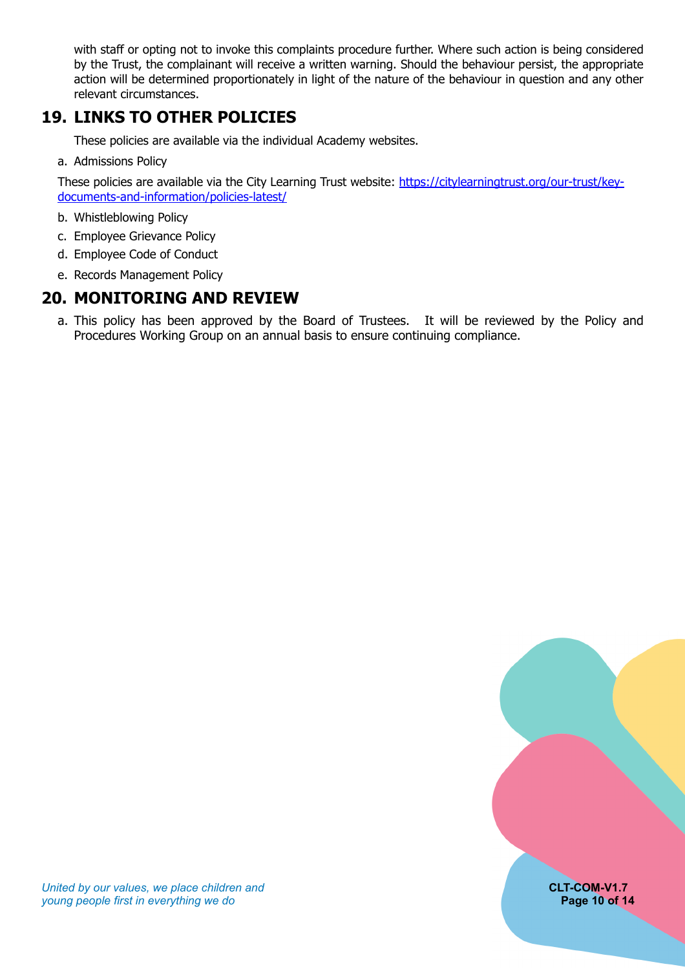with staff or opting not to invoke this complaints procedure further. Where such action is being considered by the Trust, the complainant will receive a written warning. Should the behaviour persist, the appropriate action will be determined proportionately in light of the nature of the behaviour in question and any other relevant circumstances.

#### **19. LINKS TO OTHER POLICIES**

<span id="page-9-0"></span>These policies are available via the individual Academy websites.

a. Admissions Policy

These policies are available via the City Learning Trust website: [https://citylearningtrust.org/our-trust/key](https://citylearningtrust.org/our-trust/key-documents-and-information/policies-latest/)[documents-and-information/policies-latest/](https://citylearningtrust.org/our-trust/key-documents-and-information/policies-latest/)

- b. Whistleblowing Policy
- c. Employee Grievance Policy
- d. Employee Code of Conduct
- <span id="page-9-1"></span>e. Records Management Policy

#### **20. MONITORING AND REVIEW**

a. This policy has been approved by the Board of Trustees. It will be reviewed by the Policy and Procedures Working Group on an annual basis to ensure continuing compliance.

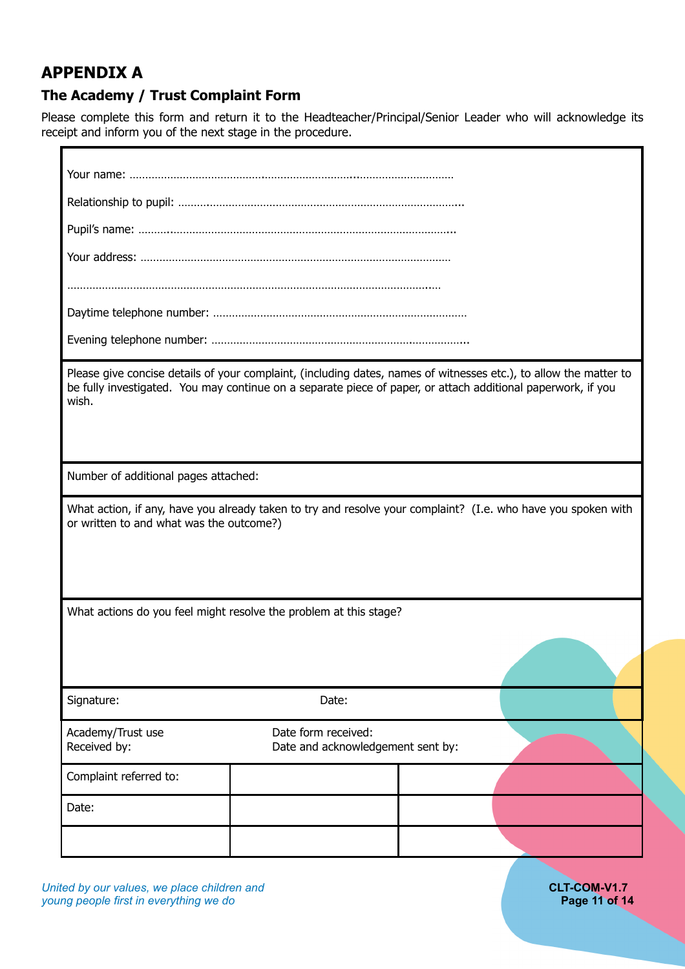#### <span id="page-10-0"></span>**APPENDIX A**

Ē

#### <span id="page-10-1"></span>**The Academy / Trust Complaint Form**

Please complete this form and return it to the Headteacher/Principal/Senior Leader who will acknowledge its receipt and inform you of the next stage in the procedure.

*United by our values, we place children and* **CLT-COM-V1.7**<br> **CLT-COM-V1.7**<br> **CLT-COM-V1.7**<br> **Page 11 of 14** *young people first in everything we do*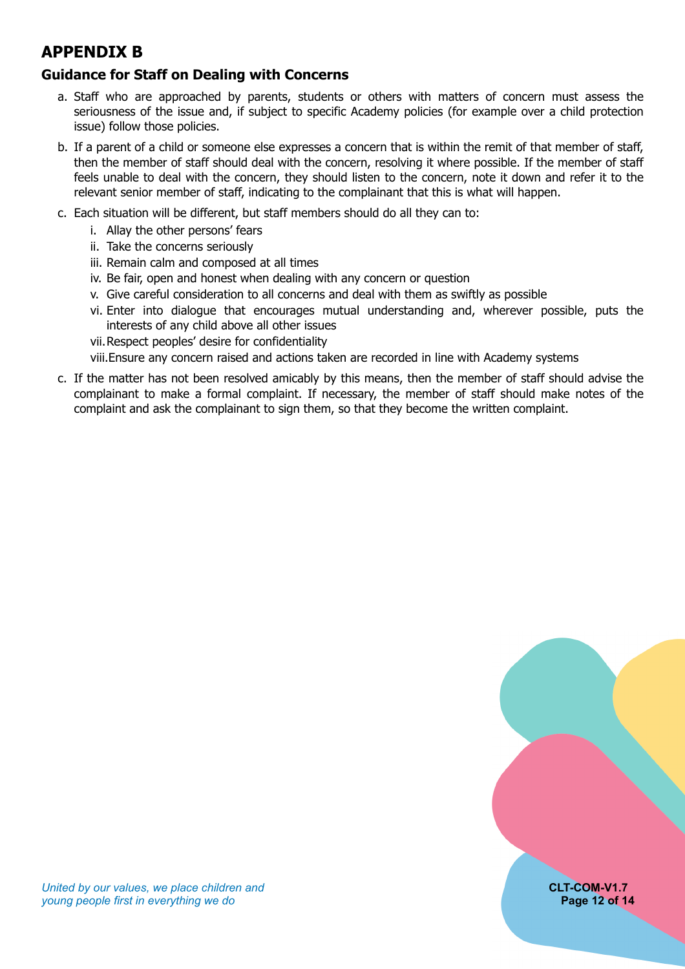## <span id="page-11-0"></span>**APPENDIX B**

#### <span id="page-11-1"></span>**Guidance for Staff on Dealing with Concerns**

- a. Staff who are approached by parents, students or others with matters of concern must assess the seriousness of the issue and, if subject to specific Academy policies (for example over a child protection issue) follow those policies.
- b. If a parent of a child or someone else expresses a concern that is within the remit of that member of staff, then the member of staff should deal with the concern, resolving it where possible. If the member of staff feels unable to deal with the concern, they should listen to the concern, note it down and refer it to the relevant senior member of staff, indicating to the complainant that this is what will happen.
- c. Each situation will be different, but staff members should do all they can to:
	- i. Allay the other persons' fears
	- ii. Take the concerns seriously
	- iii. Remain calm and composed at all times
	- iv. Be fair, open and honest when dealing with any concern or question
	- v. Give careful consideration to all concerns and deal with them as swiftly as possible
	- vi. Enter into dialogue that encourages mutual understanding and, wherever possible, puts the interests of any child above all other issues
	- vii.Respect peoples' desire for confidentiality
	- viii.Ensure any concern raised and actions taken are recorded in line with Academy systems
- c. If the matter has not been resolved amicably by this means, then the member of staff should advise the complainant to make a formal complaint. If necessary, the member of staff should make notes of the complaint and ask the complainant to sign them, so that they become the written complaint.

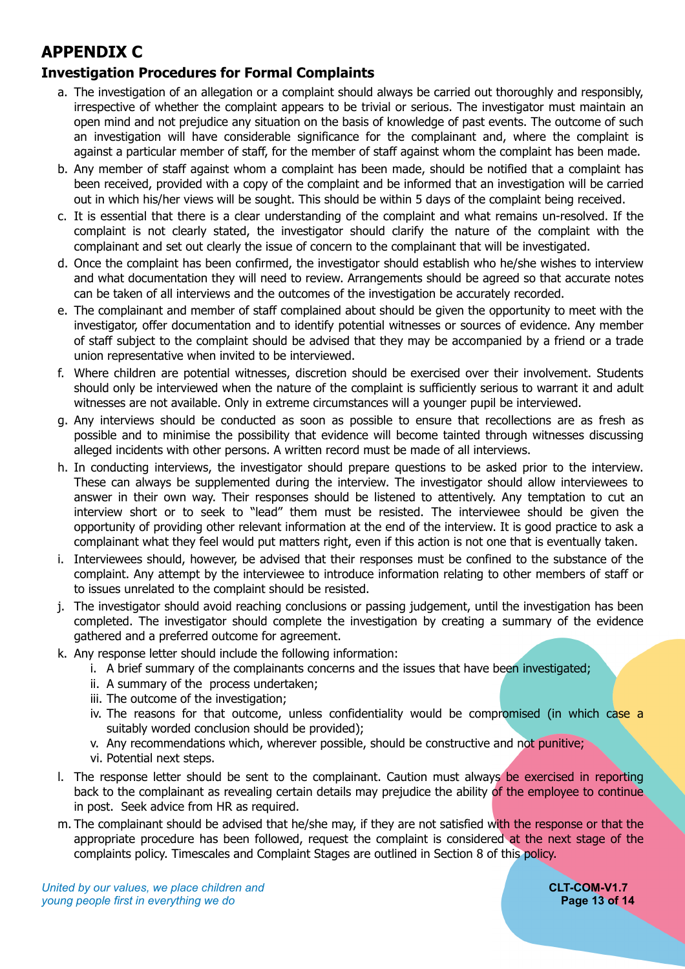# <span id="page-12-0"></span>**APPENDIX C**

#### <span id="page-12-1"></span>**Investigation Procedures for Formal Complaints**

- a. The investigation of an allegation or a complaint should always be carried out thoroughly and responsibly, irrespective of whether the complaint appears to be trivial or serious. The investigator must maintain an open mind and not prejudice any situation on the basis of knowledge of past events. The outcome of such an investigation will have considerable significance for the complainant and, where the complaint is against a particular member of staff, for the member of staff against whom the complaint has been made.
- b. Any member of staff against whom a complaint has been made, should be notified that a complaint has been received, provided with a copy of the complaint and be informed that an investigation will be carried out in which his/her views will be sought. This should be within 5 days of the complaint being received.
- c. It is essential that there is a clear understanding of the complaint and what remains un-resolved. If the complaint is not clearly stated, the investigator should clarify the nature of the complaint with the complainant and set out clearly the issue of concern to the complainant that will be investigated.
- d. Once the complaint has been confirmed, the investigator should establish who he/she wishes to interview and what documentation they will need to review. Arrangements should be agreed so that accurate notes can be taken of all interviews and the outcomes of the investigation be accurately recorded.
- e. The complainant and member of staff complained about should be given the opportunity to meet with the investigator, offer documentation and to identify potential witnesses or sources of evidence. Any member of staff subject to the complaint should be advised that they may be accompanied by a friend or a trade union representative when invited to be interviewed.
- f. Where children are potential witnesses, discretion should be exercised over their involvement. Students should only be interviewed when the nature of the complaint is sufficiently serious to warrant it and adult witnesses are not available. Only in extreme circumstances will a younger pupil be interviewed.
- g. Any interviews should be conducted as soon as possible to ensure that recollections are as fresh as possible and to minimise the possibility that evidence will become tainted through witnesses discussing alleged incidents with other persons. A written record must be made of all interviews.
- h. In conducting interviews, the investigator should prepare questions to be asked prior to the interview. These can always be supplemented during the interview. The investigator should allow interviewees to answer in their own way. Their responses should be listened to attentively. Any temptation to cut an interview short or to seek to "lead" them must be resisted. The interviewee should be given the opportunity of providing other relevant information at the end of the interview. It is good practice to ask a complainant what they feel would put matters right, even if this action is not one that is eventually taken.
- i. Interviewees should, however, be advised that their responses must be confined to the substance of the complaint. Any attempt by the interviewee to introduce information relating to other members of staff or to issues unrelated to the complaint should be resisted.
- j. The investigator should avoid reaching conclusions or passing judgement, until the investigation has been completed. The investigator should complete the investigation by creating a summary of the evidence gathered and a preferred outcome for agreement.
- k. Any response letter should include the following information:
	- i. A brief summary of the complainants concerns and the issues that have been investigated;
	- ii. A summary of the process undertaken;
	- iii. The outcome of the investigation;
	- iv. The reasons for that outcome, unless confidentiality would be compromised (in which case a suitably worded conclusion should be provided);
	- v. Any recommendations which, wherever possible, should be constructive and not punitive;
	- vi. Potential next steps.
- l. The response letter should be sent to the complainant. Caution must always be exercised in reporting back to the complainant as revealing certain details may prejudice the ability of the employee to continue in post. Seek advice from HR as required.
- m. The complainant should be advised that he/she may, if they are not satisfied with the response or that the appropriate procedure has been followed, request the complaint is considered at the next stage of the complaints policy. Timescales and Complaint Stages are outlined in Section 8 of this policy.

*United by our values, we place children and* **CLT-COM-V1.7**<br> **CLT-COM-V1.7**<br> **CLT-COM-V1.7 COM-V1.7** *young people first in everything we do*